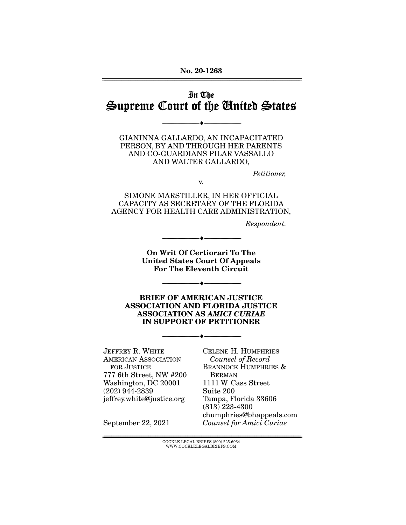**No. 20-1263**  ================================================================================================================

# In The Supreme Court of the United States

--------------------------------- ♦ ---------------------------------

GIANINNA GALLARDO, AN INCAPACITATED PERSON, BY AND THROUGH HER PARENTS AND CO-GUARDIANS PILAR VASSALLO AND WALTER GALLARDO,

Petitioner,

v.

SIMONE MARSTILLER, IN HER OFFICIAL CAPACITY AS SECRETARY OF THE FLORIDA AGENCY FOR HEALTH CARE ADMINISTRATION,

Respondent.

**On Writ Of Certiorari To The United States Court Of Appeals For The Eleventh Circuit** 

--------------------------------- ♦ ---------------------------------

--------------------------------- ♦ ---------------------------------

**BRIEF OF AMERICAN JUSTICE ASSOCIATION AND FLORIDA JUSTICE ASSOCIATION AS** *AMICI CURIAE* **IN SUPPORT OF PETITIONER** 

--------------------------------- ♦ ---------------------------------

JEFFREY R. WHITE AMERICAN ASSOCIATION FOR JUSTICE 777 6th Street, NW #200 Washington, DC 20001 (202) 944-2839 jeffrey.white@justice.org

CELENE H. HUMPHRIES Counsel of Record BRANNOCK HUMPHRIES & BERMAN 1111 W. Cass Street Suite 200 Tampa, Florida 33606 (813) 223-4300 chumphries@bhappeals.com Counsel for Amici Curiae

September 22, 2021

 ${ \rm COCKLE}$  LEGAL BRIEFS (800) 225-6964 WWW.COCKLELEGALBRIEFS.COM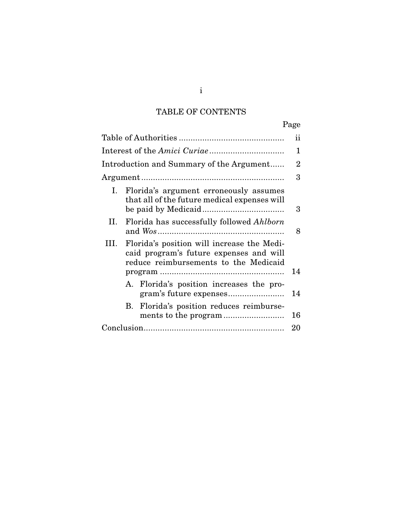# TABLE OF CONTENTS

|                                                                                                                                        | Page           |
|----------------------------------------------------------------------------------------------------------------------------------------|----------------|
|                                                                                                                                        | ii             |
|                                                                                                                                        | 1              |
| Introduction and Summary of the Argument                                                                                               | $\overline{2}$ |
|                                                                                                                                        | 3              |
| Florida's argument erroneously assumes<br>Ι.<br>that all of the future medical expenses will                                           | 3              |
| Florida has successfully followed Ahlborn<br>II.                                                                                       | 8              |
| Florida's position will increase the Medi-<br>III.<br>caid program's future expenses and will<br>reduce reimbursements to the Medicaid |                |
|                                                                                                                                        | 14             |
| A. Florida's position increases the pro-                                                                                               | 14             |
| B. Florida's position reduces reimburse-                                                                                               | 16             |
|                                                                                                                                        | 20             |

i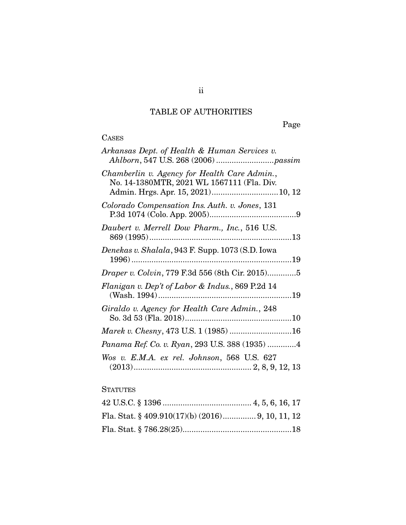# TABLE OF AUTHORITIES

Page

# CASES

| Arkansas Dept. of Health & Human Services v.                                                                                     |
|----------------------------------------------------------------------------------------------------------------------------------|
| Chamberlin v. Agency for Health Care Admin.,<br>No. 14-1380MTR, 2021 WL 1567111 (Fla. Div.<br>Admin. Hrgs. Apr. 15, 2021) 10, 12 |
| Colorado Compensation Ins. Auth. v. Jones, 131                                                                                   |
| Daubert v. Merrell Dow Pharm., Inc., 516 U.S.                                                                                    |
| Denekas v. Shalala, 943 F. Supp. 1073 (S.D. Iowa                                                                                 |
| <i>Draper v. Colvin, 779 F.3d 556 (8th Cir. 2015)5</i>                                                                           |
| Flanigan v. Dep't of Labor & Indus., 869 P.2d 14                                                                                 |
| Giraldo v. Agency for Health Care Admin., 248                                                                                    |
| Marek v. Chesny, 473 U.S. 1 (1985) 16                                                                                            |
| Panama Ref. Co. v. Ryan, 293 U.S. 388 (1935) 4                                                                                   |
| Wos v. E.M.A. ex rel. Johnson, 568 U.S. 627                                                                                      |

# **STATUTES**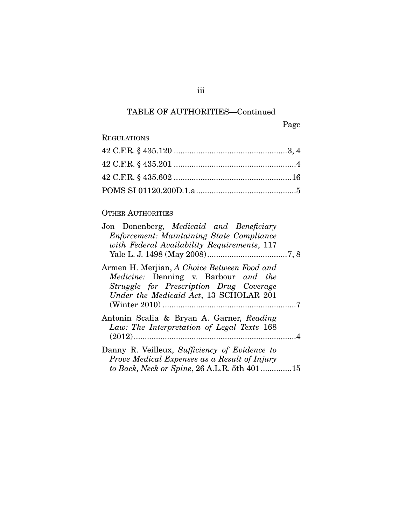# TABLE OF AUTHORITIES—Continued

Page

# REGULATIONS

## OTHER AUTHORITIES

| Jon Donenberg, Medicaid and Beneficiary                                                                                                                                  |  |
|--------------------------------------------------------------------------------------------------------------------------------------------------------------------------|--|
| <b>Enforcement: Maintaining State Compliance</b><br>with Federal Availability Requirements, 117                                                                          |  |
| Armen H. Merjian, A Choice Between Food and<br>Medicine: Denning v. Barbour and the<br>Struggle for Prescription Drug Coverage<br>Under the Medicaid Act, 13 SCHOLAR 201 |  |
| Antonin Scalia & Bryan A. Garner, Reading                                                                                                                                |  |
| Law: The Interpretation of Legal Texts 168                                                                                                                               |  |
| Danny R. Veilleux, Sufficiency of Evidence to<br>Prove Medical Expenses as a Result of Injury<br>to Back, Neck or Spine, 26 A.L.R. 5th 40115                             |  |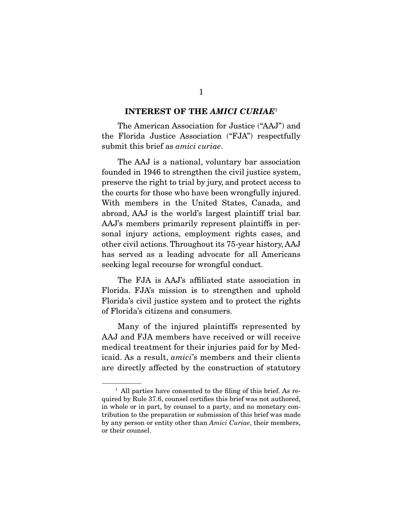#### **INTEREST OF THE** *AMICI CURIAE*<sup>1</sup>

 The American Association for Justice ("AAJ") and the Florida Justice Association ("FJA") respectfully submit this brief as amici curiae.

 The AAJ is a national, voluntary bar association founded in 1946 to strengthen the civil justice system, preserve the right to trial by jury, and protect access to the courts for those who have been wrongfully injured. With members in the United States, Canada, and abroad, AAJ is the world's largest plaintiff trial bar. AAJ's members primarily represent plaintiffs in personal injury actions, employment rights cases, and other civil actions. Throughout its 75-year history, AAJ has served as a leading advocate for all Americans seeking legal recourse for wrongful conduct.

 The FJA is AAJ's affiliated state association in Florida. FJA's mission is to strengthen and uphold Florida's civil justice system and to protect the rights of Florida's citizens and consumers.

 Many of the injured plaintiffs represented by AAJ and FJA members have received or will receive medical treatment for their injuries paid for by Medicaid. As a result, amici's members and their clients are directly affected by the construction of statutory

 $<sup>1</sup>$  All parties have consented to the filing of this brief. As re-</sup> quired by Rule 37.6, counsel certifies this brief was not authored, in whole or in part, by counsel to a party, and no monetary contribution to the preparation or submission of this brief was made by any person or entity other than Amici Curiae, their members, or their counsel.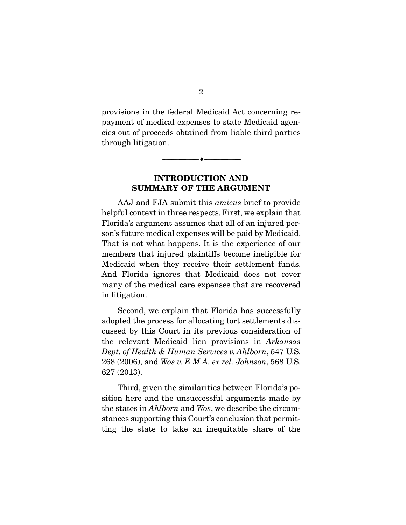provisions in the federal Medicaid Act concerning repayment of medical expenses to state Medicaid agencies out of proceeds obtained from liable third parties through litigation.

--------------------------------- ♦ ---------------------------------

## **INTRODUCTION AND SUMMARY OF THE ARGUMENT**

 AAJ and FJA submit this amicus brief to provide helpful context in three respects. First, we explain that Florida's argument assumes that all of an injured person's future medical expenses will be paid by Medicaid. That is not what happens. It is the experience of our members that injured plaintiffs become ineligible for Medicaid when they receive their settlement funds. And Florida ignores that Medicaid does not cover many of the medical care expenses that are recovered in litigation.

 Second, we explain that Florida has successfully adopted the process for allocating tort settlements discussed by this Court in its previous consideration of the relevant Medicaid lien provisions in Arkansas Dept. of Health & Human Services v. Ahlborn, 547 U.S. 268 (2006), and Wos v. E.M.A. ex rel. Johnson, 568 U.S. 627 (2013).

 Third, given the similarities between Florida's position here and the unsuccessful arguments made by the states in Ahlborn and Wos, we describe the circumstances supporting this Court's conclusion that permitting the state to take an inequitable share of the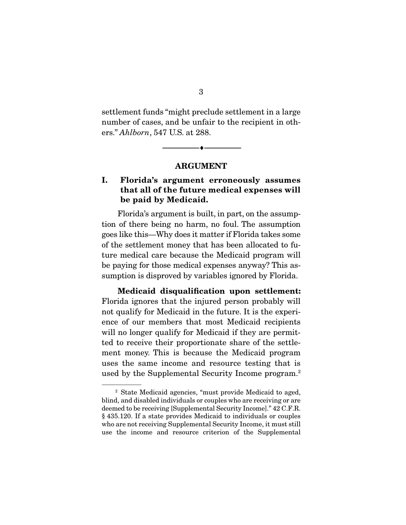settlement funds "might preclude settlement in a large number of cases, and be unfair to the recipient in others." Ahlborn, 547 U.S. at 288.

> --------------------------------- ♦ --------------------------------- **ARGUMENT**

## **I. Florida's argument erroneously assumes that all of the future medical expenses will be paid by Medicaid.**

 Florida's argument is built, in part, on the assumption of there being no harm, no foul. The assumption goes like this—Why does it matter if Florida takes some of the settlement money that has been allocated to future medical care because the Medicaid program will be paying for those medical expenses anyway? This assumption is disproved by variables ignored by Florida.

**Medicaid disqualification upon settlement:**  Florida ignores that the injured person probably will not qualify for Medicaid in the future. It is the experience of our members that most Medicaid recipients will no longer qualify for Medicaid if they are permitted to receive their proportionate share of the settlement money. This is because the Medicaid program uses the same income and resource testing that is used by the Supplemental Security Income program.<sup>2</sup>

<sup>2</sup> State Medicaid agencies, "must provide Medicaid to aged, blind, and disabled individuals or couples who are receiving or are deemed to be receiving [Supplemental Security Income]." 42 C.F.R. § 435.120. If a state provides Medicaid to individuals or couples who are not receiving Supplemental Security Income, it must still use the income and resource criterion of the Supplemental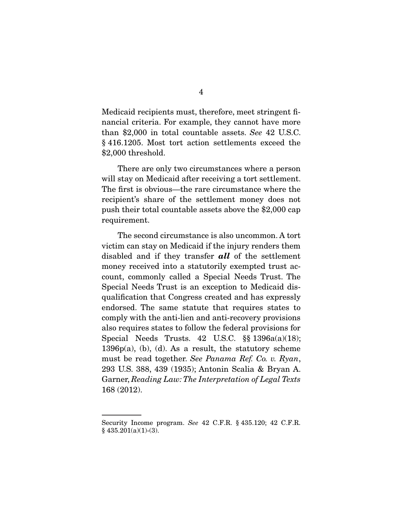Medicaid recipients must, therefore, meet stringent financial criteria. For example, they cannot have more than \$2,000 in total countable assets. See 42 U.S.C. § 416.1205. Most tort action settlements exceed the \$2,000 threshold.

 There are only two circumstances where a person will stay on Medicaid after receiving a tort settlement. The first is obvious—the rare circumstance where the recipient's share of the settlement money does not push their total countable assets above the \$2,000 cap requirement.

 The second circumstance is also uncommon. A tort victim can stay on Medicaid if the injury renders them disabled and if they transfer *all* of the settlement money received into a statutorily exempted trust account, commonly called a Special Needs Trust. The Special Needs Trust is an exception to Medicaid disqualification that Congress created and has expressly endorsed. The same statute that requires states to comply with the anti-lien and anti-recovery provisions also requires states to follow the federal provisions for Special Needs Trusts.  $42 \text{ U.S.C. }$  §§  $1396a(a)(18);$ 1396p(a), (b), (d). As a result, the statutory scheme must be read together. See Panama Ref. Co. v. Ryan, 293 U.S. 388, 439 (1935); Antonin Scalia & Bryan A. Garner, Reading Law: The Interpretation of Legal Texts 168 (2012).

Security Income program. See 42 C.F.R. § 435.120; 42 C.F.R.  $§$  435.201(a)(1)-(3).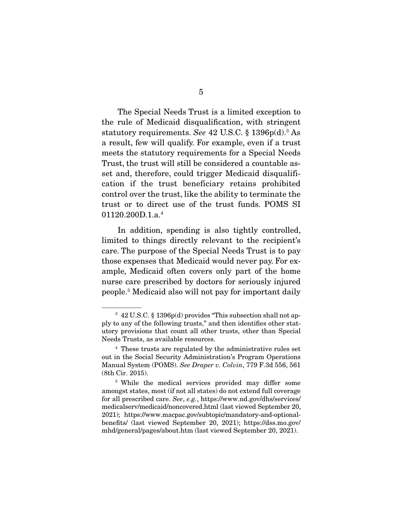The Special Needs Trust is a limited exception to the rule of Medicaid disqualification, with stringent statutory requirements. See 42 U.S.C. § 1396p(d).<sup>3</sup> As a result, few will qualify. For example, even if a trust meets the statutory requirements for a Special Needs Trust, the trust will still be considered a countable asset and, therefore, could trigger Medicaid disqualification if the trust beneficiary retains prohibited control over the trust, like the ability to terminate the trust or to direct use of the trust funds. POMS SI 01120.200D.1.a.4

 In addition, spending is also tightly controlled, limited to things directly relevant to the recipient's care. The purpose of the Special Needs Trust is to pay those expenses that Medicaid would never pay. For example, Medicaid often covers only part of the home nurse care prescribed by doctors for seriously injured people.5 Medicaid also will not pay for important daily

<sup>3</sup> 42 U.S.C. § 1396p(d) provides "This subsection shall not apply to any of the following trusts," and then identifies other statutory provisions that count all other trusts, other than Special Needs Trusts, as available resources.

<sup>4</sup> These trusts are regulated by the administrative rules set out in the Social Security Administration's Program Operations Manual System (POMS). See Draper v. Colvin, 779 F.3d 556, 561 (8th Cir. 2015).

<sup>5</sup> While the medical services provided may differ some amongst states, most (if not all states) do not extend full coverage for all prescribed care. See, e.g., https://www.nd.gov/dhs/services/ medicalserv/medicaid/noncovered.html (last viewed September 20, 2021); https://www.macpac.gov/subtopic/mandatory-and-optionalbenefits/ (last viewed September 20, 2021); https://dss.mo.gov/ mhd/general/pages/about.htm (last viewed September 20, 2021).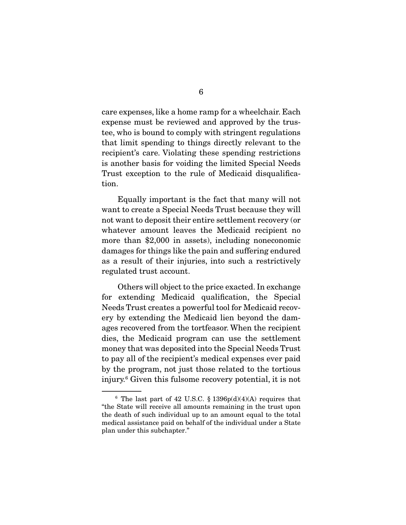care expenses, like a home ramp for a wheelchair. Each expense must be reviewed and approved by the trustee, who is bound to comply with stringent regulations that limit spending to things directly relevant to the recipient's care. Violating these spending restrictions is another basis for voiding the limited Special Needs Trust exception to the rule of Medicaid disqualification.

 Equally important is the fact that many will not want to create a Special Needs Trust because they will not want to deposit their entire settlement recovery (or whatever amount leaves the Medicaid recipient no more than \$2,000 in assets), including noneconomic damages for things like the pain and suffering endured as a result of their injuries, into such a restrictively regulated trust account.

 Others will object to the price exacted. In exchange for extending Medicaid qualification, the Special Needs Trust creates a powerful tool for Medicaid recovery by extending the Medicaid lien beyond the damages recovered from the tortfeasor. When the recipient dies, the Medicaid program can use the settlement money that was deposited into the Special Needs Trust to pay all of the recipient's medical expenses ever paid by the program, not just those related to the tortious injury.6 Given this fulsome recovery potential, it is not

 $6$  The last part of 42 U.S.C. § 1396p(d)(4)(A) requires that "the State will receive all amounts remaining in the trust upon the death of such individual up to an amount equal to the total medical assistance paid on behalf of the individual under a State plan under this subchapter."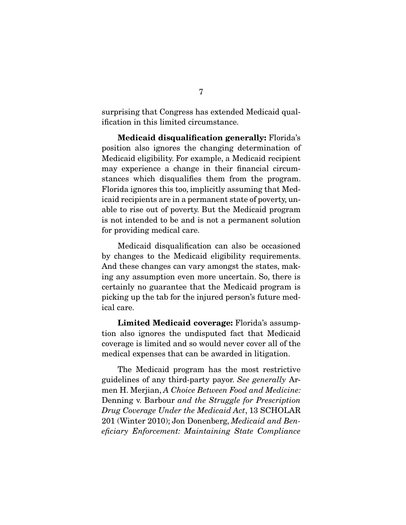surprising that Congress has extended Medicaid qualification in this limited circumstance.

**Medicaid disqualification generally:** Florida's position also ignores the changing determination of Medicaid eligibility. For example, a Medicaid recipient may experience a change in their financial circumstances which disqualifies them from the program. Florida ignores this too, implicitly assuming that Medicaid recipients are in a permanent state of poverty, unable to rise out of poverty. But the Medicaid program is not intended to be and is not a permanent solution for providing medical care.

 Medicaid disqualification can also be occasioned by changes to the Medicaid eligibility requirements. And these changes can vary amongst the states, making any assumption even more uncertain. So, there is certainly no guarantee that the Medicaid program is picking up the tab for the injured person's future medical care.

**Limited Medicaid coverage:** Florida's assumption also ignores the undisputed fact that Medicaid coverage is limited and so would never cover all of the medical expenses that can be awarded in litigation.

 The Medicaid program has the most restrictive guidelines of any third-party payor. See generally Armen H. Merjian, A Choice Between Food and Medicine: Denning v. Barbour and the Struggle for Prescription Drug Coverage Under the Medicaid Act, 13 SCHOLAR 201 (Winter 2010); Jon Donenberg, Medicaid and Beneficiary Enforcement: Maintaining State Compliance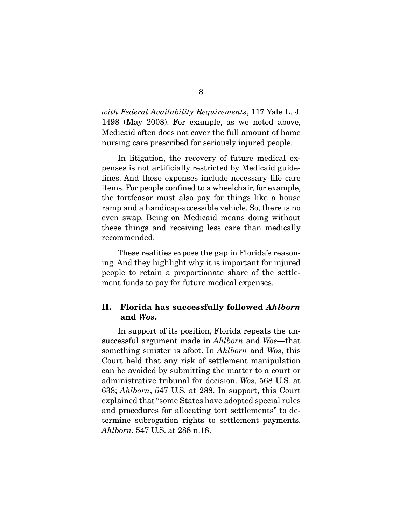with Federal Availability Requirements, 117 Yale L. J. 1498 (May 2008). For example, as we noted above, Medicaid often does not cover the full amount of home nursing care prescribed for seriously injured people.

 In litigation, the recovery of future medical expenses is not artificially restricted by Medicaid guidelines. And these expenses include necessary life care items. For people confined to a wheelchair, for example, the tortfeasor must also pay for things like a house ramp and a handicap-accessible vehicle. So, there is no even swap. Being on Medicaid means doing without these things and receiving less care than medically recommended.

 These realities expose the gap in Florida's reasoning. And they highlight why it is important for injured people to retain a proportionate share of the settlement funds to pay for future medical expenses.

## **II. Florida has successfully followed** *Ahlborn*  **and** *Wos***.**

 In support of its position, Florida repeats the unsuccessful argument made in Ahlborn and Wos—that something sinister is afoot. In Ahlborn and Wos, this Court held that any risk of settlement manipulation can be avoided by submitting the matter to a court or administrative tribunal for decision. Wos, 568 U.S. at 638; Ahlborn, 547 U.S. at 288. In support, this Court explained that "some States have adopted special rules and procedures for allocating tort settlements" to determine subrogation rights to settlement payments. Ahlborn, 547 U.S. at 288 n.18.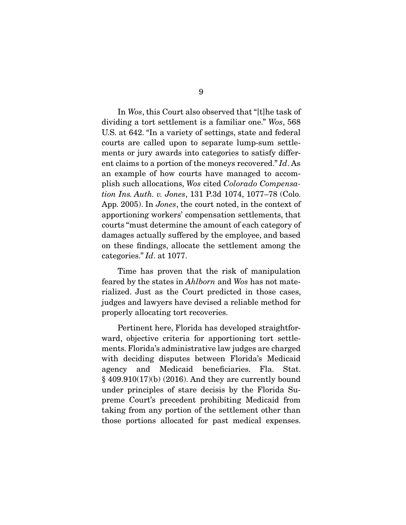In Wos, this Court also observed that "[t]he task of dividing a tort settlement is a familiar one." Wos, 568 U.S. at 642. "In a variety of settings, state and federal courts are called upon to separate lump-sum settlements or jury awards into categories to satisfy different claims to a portion of the moneys recovered." Id. As an example of how courts have managed to accomplish such allocations, Wos cited Colorado Compensation Ins. Auth. v. Jones, 131 P.3d 1074, 1077–78 (Colo. App. 2005). In Jones, the court noted, in the context of apportioning workers' compensation settlements, that courts "must determine the amount of each category of damages actually suffered by the employee, and based on these findings, allocate the settlement among the categories." Id. at 1077.

 Time has proven that the risk of manipulation feared by the states in Ahlborn and Wos has not materialized. Just as the Court predicted in those cases, judges and lawyers have devised a reliable method for properly allocating tort recoveries.

 Pertinent here, Florida has developed straightforward, objective criteria for apportioning tort settlements. Florida's administrative law judges are charged with deciding disputes between Florida's Medicaid agency and Medicaid beneficiaries. Fla. Stat. § 409.910(17)(b) (2016). And they are currently bound under principles of stare decisis by the Florida Supreme Court's precedent prohibiting Medicaid from taking from any portion of the settlement other than those portions allocated for past medical expenses.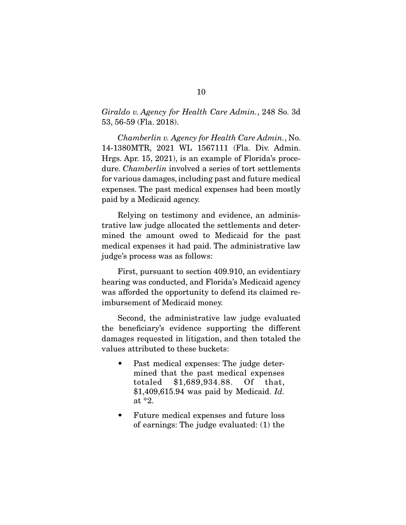Giraldo v. Agency for Health Care Admin., 248 So. 3d 53, 56-59 (Fla. 2018).

Chamberlin v. Agency for Health Care Admin., No. 14-1380MTR, 2021 WL 1567111 (Fla. Div. Admin. Hrgs. Apr. 15, 2021), is an example of Florida's procedure. *Chamberlin* involved a series of tort settlements for various damages, including past and future medical expenses. The past medical expenses had been mostly paid by a Medicaid agency.

 Relying on testimony and evidence, an administrative law judge allocated the settlements and determined the amount owed to Medicaid for the past medical expenses it had paid. The administrative law judge's process was as follows:

 First, pursuant to section 409.910, an evidentiary hearing was conducted, and Florida's Medicaid agency was afforded the opportunity to defend its claimed reimbursement of Medicaid money.

 Second, the administrative law judge evaluated the beneficiary's evidence supporting the different damages requested in litigation, and then totaled the values attributed to these buckets:

- Past medical expenses: The judge determined that the past medical expenses totaled \$1,689,934.88. Of that,  $$1,409,615.94$  was paid by Medicaid. Id. at \*2.
- Future medical expenses and future loss of earnings: The judge evaluated: (1) the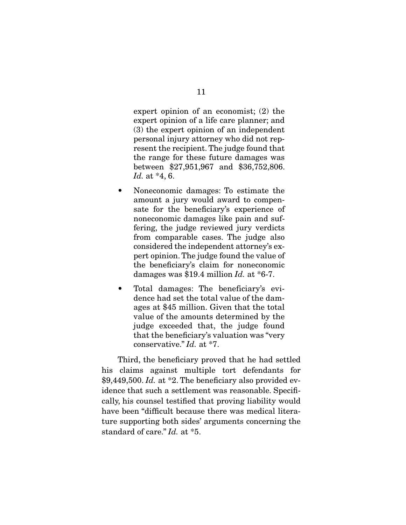expert opinion of an economist; (2) the expert opinion of a life care planner; and (3) the expert opinion of an independent personal injury attorney who did not represent the recipient. The judge found that the range for these future damages was between \$27,951,967 and \$36,752,806. Id. at \*4, 6.

- Noneconomic damages: To estimate the amount a jury would award to compensate for the beneficiary's experience of noneconomic damages like pain and suffering, the judge reviewed jury verdicts from comparable cases. The judge also considered the independent attorney's expert opinion. The judge found the value of the beneficiary's claim for noneconomic damages was \$19.4 million  $Id$ . at \*6-7.
- Total damages: The beneficiary's evidence had set the total value of the damages at \$45 million. Given that the total value of the amounts determined by the judge exceeded that, the judge found that the beneficiary's valuation was "very conservative." Id. at \*7.

 Third, the beneficiary proved that he had settled his claims against multiple tort defendants for \$9,449,500. Id. at  $*2$ . The beneficiary also provided evidence that such a settlement was reasonable. Specifically, his counsel testified that proving liability would have been "difficult because there was medical literature supporting both sides' arguments concerning the standard of care." Id. at \*5.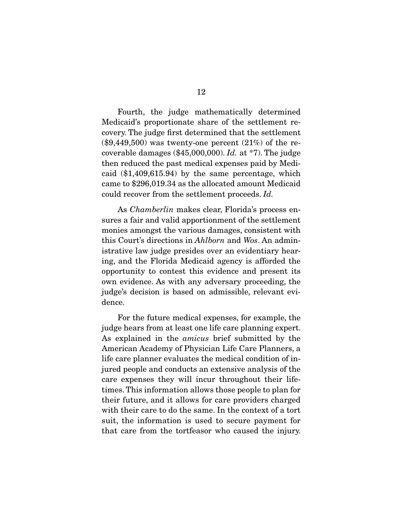Fourth, the judge mathematically determined Medicaid's proportionate share of the settlement recovery. The judge first determined that the settlement  $(\$9,449,500)$  was twenty-one percent  $(21\%)$  of the recoverable damages  $(\$45,000,000)$ . Id. at  $*7$ ). The judge then reduced the past medical expenses paid by Medicaid (\$1,409,615.94) by the same percentage, which came to \$296,019.34 as the allocated amount Medicaid could recover from the settlement proceeds. Id.

 As Chamberlin makes clear, Florida's process ensures a fair and valid apportionment of the settlement monies amongst the various damages, consistent with this Court's directions in Ahlborn and Wos. An administrative law judge presides over an evidentiary hearing, and the Florida Medicaid agency is afforded the opportunity to contest this evidence and present its own evidence. As with any adversary proceeding, the judge's decision is based on admissible, relevant evidence.

 For the future medical expenses, for example, the judge hears from at least one life care planning expert. As explained in the amicus brief submitted by the American Academy of Physician Life Care Planners, a life care planner evaluates the medical condition of injured people and conducts an extensive analysis of the care expenses they will incur throughout their lifetimes. This information allows those people to plan for their future, and it allows for care providers charged with their care to do the same. In the context of a tort suit, the information is used to secure payment for that care from the tortfeasor who caused the injury.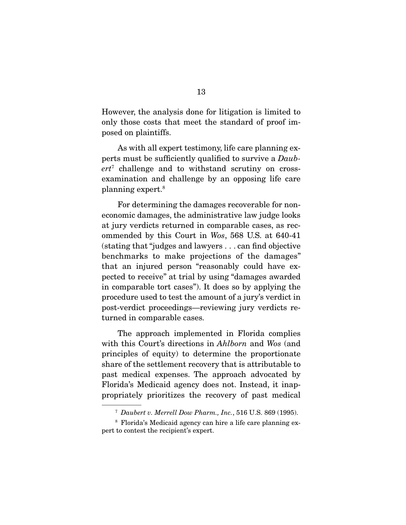However, the analysis done for litigation is limited to only those costs that meet the standard of proof imposed on plaintiffs.

 As with all expert testimony, life care planning experts must be sufficiently qualified to survive a Daub $er t^7$  challenge and to withstand scrutiny on crossexamination and challenge by an opposing life care planning expert.8

 For determining the damages recoverable for noneconomic damages, the administrative law judge looks at jury verdicts returned in comparable cases, as recommended by this Court in Wos, 568 U.S. at 640-41 (stating that "judges and lawyers . . . can find objective benchmarks to make projections of the damages" that an injured person "reasonably could have expected to receive" at trial by using "damages awarded in comparable tort cases"). It does so by applying the procedure used to test the amount of a jury's verdict in post-verdict proceedings—reviewing jury verdicts returned in comparable cases.

 The approach implemented in Florida complies with this Court's directions in *Ahlborn* and Wos (and principles of equity) to determine the proportionate share of the settlement recovery that is attributable to past medical expenses. The approach advocated by Florida's Medicaid agency does not. Instead, it inappropriately prioritizes the recovery of past medical

<sup>7</sup> Daubert v. Merrell Dow Pharm., Inc., 516 U.S. 869 (1995).

<sup>8</sup> Florida's Medicaid agency can hire a life care planning expert to contest the recipient's expert.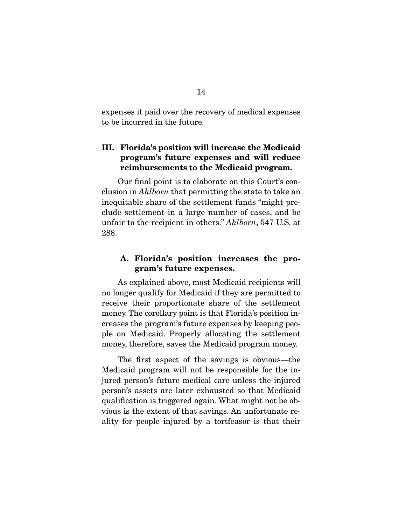expenses it paid over the recovery of medical expenses to be incurred in the future.

## **III. Florida's position will increase the Medicaid program's future expenses and will reduce reimbursements to the Medicaid program.**

 Our final point is to elaborate on this Court's conclusion in Ahlborn that permitting the state to take an inequitable share of the settlement funds "might preclude settlement in a large number of cases, and be unfair to the recipient in others." Ahlborn, 547 U.S. at 288.

#### **A. Florida's position increases the program's future expenses.**

 As explained above, most Medicaid recipients will no longer qualify for Medicaid if they are permitted to receive their proportionate share of the settlement money. The corollary point is that Florida's position increases the program's future expenses by keeping people on Medicaid. Properly allocating the settlement money, therefore, saves the Medicaid program money.

 The first aspect of the savings is obvious—the Medicaid program will not be responsible for the injured person's future medical care unless the injured person's assets are later exhausted so that Medicaid qualification is triggered again. What might not be obvious is the extent of that savings. An unfortunate reality for people injured by a tortfeasor is that their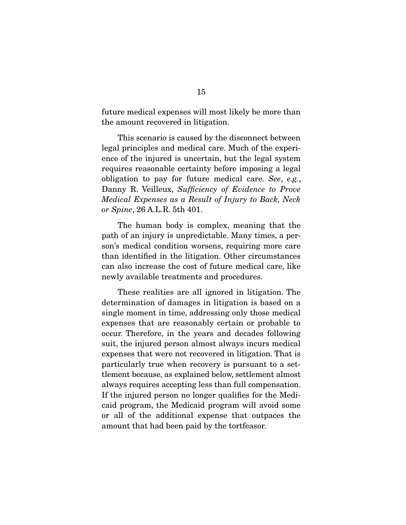future medical expenses will most likely be more than the amount recovered in litigation.

 This scenario is caused by the disconnect between legal principles and medical care. Much of the experience of the injured is uncertain, but the legal system requires reasonable certainty before imposing a legal obligation to pay for future medical care. See, e.g., Danny R. Veilleux, Sufficiency of Evidence to Prove Medical Expenses as a Result of Injury to Back, Neck or Spine, 26 A.L.R. 5th 401.

 The human body is complex, meaning that the path of an injury is unpredictable. Many times, a person's medical condition worsens, requiring more care than identified in the litigation. Other circumstances can also increase the cost of future medical care, like newly available treatments and procedures.

 These realities are all ignored in litigation. The determination of damages in litigation is based on a single moment in time, addressing only those medical expenses that are reasonably certain or probable to occur. Therefore, in the years and decades following suit, the injured person almost always incurs medical expenses that were not recovered in litigation. That is particularly true when recovery is pursuant to a settlement because, as explained below, settlement almost always requires accepting less than full compensation. If the injured person no longer qualifies for the Medicaid program, the Medicaid program will avoid some or all of the additional expense that outpaces the amount that had been paid by the tortfeasor.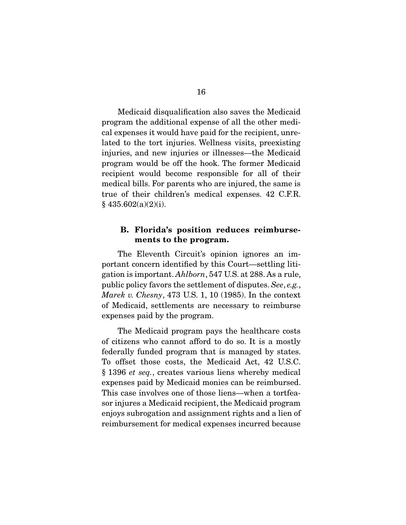Medicaid disqualification also saves the Medicaid program the additional expense of all the other medical expenses it would have paid for the recipient, unrelated to the tort injuries. Wellness visits, preexisting injuries, and new injuries or illnesses—the Medicaid program would be off the hook. The former Medicaid recipient would become responsible for all of their medical bills. For parents who are injured, the same is true of their children's medical expenses. 42 C.F.R.  $§$  435.602(a)(2)(i).

#### **B. Florida's position reduces reimbursements to the program.**

 The Eleventh Circuit's opinion ignores an important concern identified by this Court—settling litigation is important. Ahlborn, 547 U.S. at 288. As a rule, public policy favors the settlement of disputes. See, e.g., Marek v. Chesny, 473 U.S. 1, 10 (1985). In the context of Medicaid, settlements are necessary to reimburse expenses paid by the program.

 The Medicaid program pays the healthcare costs of citizens who cannot afford to do so. It is a mostly federally funded program that is managed by states. To offset those costs, the Medicaid Act, 42 U.S.C. § 1396 et seq., creates various liens whereby medical expenses paid by Medicaid monies can be reimbursed. This case involves one of those liens—when a tortfeasor injures a Medicaid recipient, the Medicaid program enjoys subrogation and assignment rights and a lien of reimbursement for medical expenses incurred because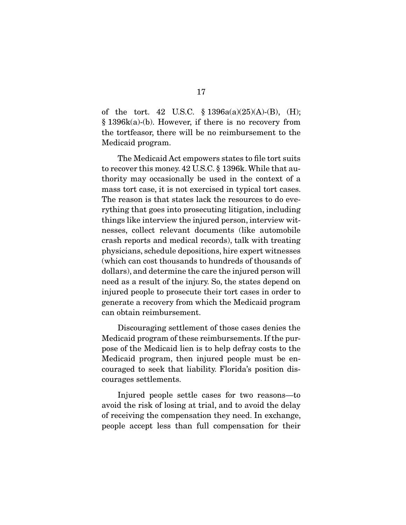of the tort. 42 U.S.C.  $\frac{1396a(a)(25)(A)-(B)}{B}$ , (H); § 1396k(a)-(b). However, if there is no recovery from the tortfeasor, there will be no reimbursement to the Medicaid program.

 The Medicaid Act empowers states to file tort suits to recover this money. 42 U.S.C. § 1396k. While that authority may occasionally be used in the context of a mass tort case, it is not exercised in typical tort cases. The reason is that states lack the resources to do everything that goes into prosecuting litigation, including things like interview the injured person, interview witnesses, collect relevant documents (like automobile crash reports and medical records), talk with treating physicians, schedule depositions, hire expert witnesses (which can cost thousands to hundreds of thousands of dollars), and determine the care the injured person will need as a result of the injury. So, the states depend on injured people to prosecute their tort cases in order to generate a recovery from which the Medicaid program can obtain reimbursement.

 Discouraging settlement of those cases denies the Medicaid program of these reimbursements. If the purpose of the Medicaid lien is to help defray costs to the Medicaid program, then injured people must be encouraged to seek that liability. Florida's position discourages settlements.

 Injured people settle cases for two reasons—to avoid the risk of losing at trial, and to avoid the delay of receiving the compensation they need. In exchange, people accept less than full compensation for their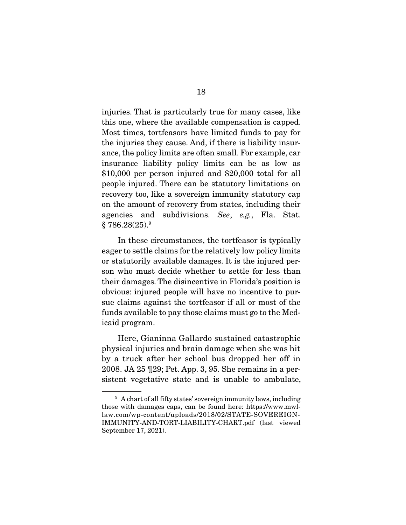injuries. That is particularly true for many cases, like this one, where the available compensation is capped. Most times, tortfeasors have limited funds to pay for the injuries they cause. And, if there is liability insurance, the policy limits are often small. For example, car insurance liability policy limits can be as low as \$10,000 per person injured and \$20,000 total for all people injured. There can be statutory limitations on recovery too, like a sovereign immunity statutory cap on the amount of recovery from states, including their agencies and subdivisions. See, e.g., Fla. Stat.  $§ 786.28(25).<sup>9</sup>$ 

 In these circumstances, the tortfeasor is typically eager to settle claims for the relatively low policy limits or statutorily available damages. It is the injured person who must decide whether to settle for less than their damages. The disincentive in Florida's position is obvious: injured people will have no incentive to pursue claims against the tortfeasor if all or most of the funds available to pay those claims must go to the Medicaid program.

 Here, Gianinna Gallardo sustained catastrophic physical injuries and brain damage when she was hit by a truck after her school bus dropped her off in 2008. JA 25 ¶29; Pet. App. 3, 95. She remains in a persistent vegetative state and is unable to ambulate,

<sup>&</sup>lt;sup>9</sup> A chart of all fifty states' sovereign immunity laws, including those with damages caps, can be found here: https://www.mwllaw.com/wp-content/uploads/2018/02/STATE-SOVEREIGN-IMMUNITY-AND-TORT-LIABILITY-CHART.pdf (last viewed September 17, 2021).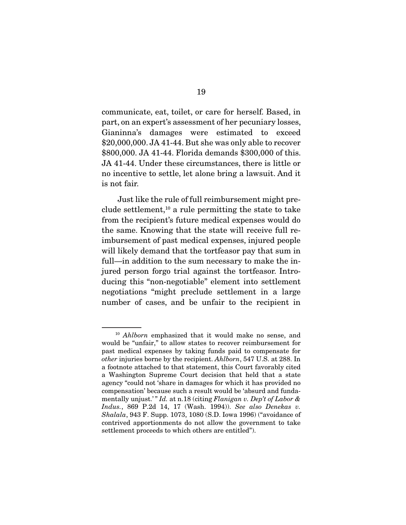communicate, eat, toilet, or care for herself. Based, in part, on an expert's assessment of her pecuniary losses, Gianinna's damages were estimated to exceed \$20,000,000. JA 41-44. But she was only able to recover \$800,000. JA 41-44. Florida demands \$300,000 of this. JA 41-44. Under these circumstances, there is little or no incentive to settle, let alone bring a lawsuit. And it is not fair.

 Just like the rule of full reimbursement might preclude settlement,<sup>10</sup> a rule permitting the state to take from the recipient's future medical expenses would do the same. Knowing that the state will receive full reimbursement of past medical expenses, injured people will likely demand that the tortfeasor pay that sum in full—in addition to the sum necessary to make the injured person forgo trial against the tortfeasor. Introducing this "non-negotiable" element into settlement negotiations "might preclude settlement in a large number of cases, and be unfair to the recipient in

<sup>10</sup> Ahlborn emphasized that it would make no sense, and would be "unfair," to allow states to recover reimbursement for past medical expenses by taking funds paid to compensate for other injuries borne by the recipient. Ahlborn, 547 U.S. at 288. In a footnote attached to that statement, this Court favorably cited a Washington Supreme Court decision that held that a state agency "could not 'share in damages for which it has provided no compensation' because such a result would be 'absurd and fundamentally unjust.'" Id. at n.18 (citing Flanigan v. Dep't of Labor  $\&$ Indus., 869 P.2d 14, 17 (Wash. 1994)). See also Denekas v. Shalala, 943 F. Supp. 1073, 1080 (S.D. Iowa 1996) ("avoidance of contrived apportionments do not allow the government to take settlement proceeds to which others are entitled").